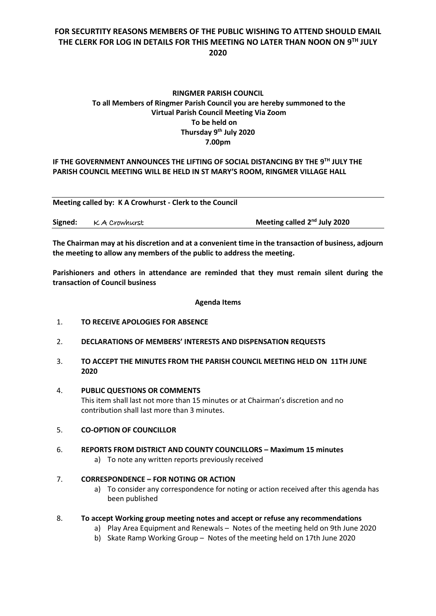# **FOR SECURTITY REASONS MEMBERS OF THE PUBLIC WISHING TO ATTEND SHOULD EMAIL THE CLERK FOR LOG IN DETAILS FOR THIS MEETING NO LATER THAN NOON ON 9 TH JULY 2020**

# **RINGMER PARISH COUNCIL To all Members of Ringmer Parish Council you are hereby summoned to the Virtual Parish Council Meeting Via Zoom To be held on Thursday 9 th July 2020 7.00pm**

# IF THE GOVERNMENT ANNOUNCES THE LIFTING OF SOCIAL DISTANCING BY THE 9<sup>TH</sup> JULY THE **PARISH COUNCIL MEETING WILL BE HELD IN ST MARY'S ROOM, RINGMER VILLAGE HALL**

**Meeting called by: K A Crowhurst - Clerk to the Council** 

| Signed: KA Crowhurst |  | Meeting called 2 <sup>nd</sup> July 2020 |
|----------------------|--|------------------------------------------|
|----------------------|--|------------------------------------------|

**The Chairman may at his discretion and at a convenient time in the transaction of business, adjourn the meeting to allow any members of the public to address the meeting.**

**Parishioners and others in attendance are reminded that they must remain silent during the transaction of Council business**

#### **Agenda Items**

- 1. **TO RECEIVE APOLOGIES FOR ABSENCE**
- 2. **DECLARATIONS OF MEMBERS' INTERESTS AND DISPENSATION REQUESTS**
- 3. **TO ACCEPT THE MINUTES FROM THE PARISH COUNCIL MEETING HELD ON 11TH JUNE 2020**
- 4. **PUBLIC QUESTIONS OR COMMENTS**

This item shall last not more than 15 minutes or at Chairman's discretion and no contribution shall last more than 3 minutes.

- 5. **CO-OPTION OF COUNCILLOR**
- 6. **REPORTS FROM DISTRICT AND COUNTY COUNCILLORS – Maximum 15 minutes**
	- a) To note any written reports previously received

## 7. **CORRESPONDENCE – FOR NOTING OR ACTION**

a) To consider any correspondence for noting or action received after this agenda has been published

### 8. **To accept Working group meeting notes and accept or refuse any recommendations**

- a) Play Area Equipment and Renewals Notes of the meeting held on 9th June 2020
- b) Skate Ramp Working Group Notes of the meeting held on 17th June 2020